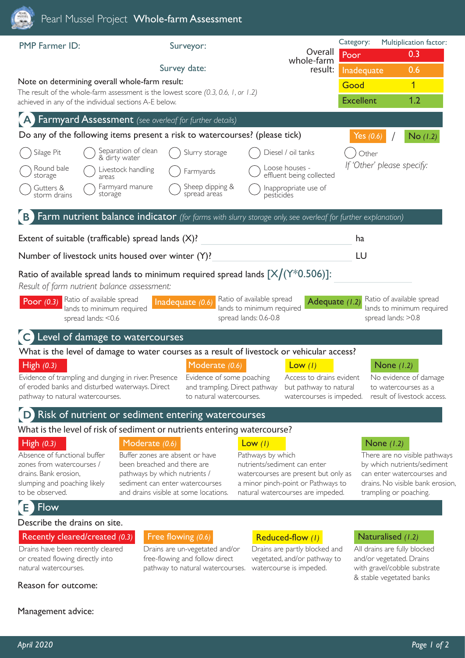| Pearl Mussel Project Whole-farm Assessment                                                                                                                                                                                          |                                                                                                                                                                             |                                                                                                                                                                                   |                                                                                                                                                                          |  |
|-------------------------------------------------------------------------------------------------------------------------------------------------------------------------------------------------------------------------------------|-----------------------------------------------------------------------------------------------------------------------------------------------------------------------------|-----------------------------------------------------------------------------------------------------------------------------------------------------------------------------------|--------------------------------------------------------------------------------------------------------------------------------------------------------------------------|--|
| <b>PMP Farmer ID:</b>                                                                                                                                                                                                               | Surveyor:                                                                                                                                                                   | Overall                                                                                                                                                                           | Category:<br>Multiplication factor:<br>0.3<br>Poor                                                                                                                       |  |
|                                                                                                                                                                                                                                     | Survey date:                                                                                                                                                                | whole-farm<br>result:                                                                                                                                                             | 0.6<br>Inadequate                                                                                                                                                        |  |
| Note on determining overall whole-farm result:                                                                                                                                                                                      |                                                                                                                                                                             |                                                                                                                                                                                   | $\overline{1}$<br>Good                                                                                                                                                   |  |
| The result of the whole-farm assessment is the lowest score (0.3, 0.6, 1, or 1.2)<br>achieved in any of the individual sections A-E below.                                                                                          |                                                                                                                                                                             |                                                                                                                                                                                   | 1.2<br><b>Excellent</b>                                                                                                                                                  |  |
| Farmyard Assessment (see overleaf for further details)                                                                                                                                                                              |                                                                                                                                                                             |                                                                                                                                                                                   |                                                                                                                                                                          |  |
| Do any of the following items present a risk to watercourses? (please tick)                                                                                                                                                         |                                                                                                                                                                             |                                                                                                                                                                                   | $No$ (1.2)<br>Yes $(0.6)$                                                                                                                                                |  |
| Separation of clean<br>Silage Pit<br>& dirty water                                                                                                                                                                                  | Slurry storage                                                                                                                                                              | Diesel / oil tanks                                                                                                                                                                | Other                                                                                                                                                                    |  |
| Round bale<br>Livestock handling<br>storage<br>areas                                                                                                                                                                                | Farmyards                                                                                                                                                                   | Loose houses -<br>effluent being collected                                                                                                                                        | If 'Other' please specify:                                                                                                                                               |  |
| Farmyard manure<br>Gutters &<br>storage<br>storm drains                                                                                                                                                                             | Sheep dipping &<br>spread areas                                                                                                                                             | Inappropriate use of<br>pesticides                                                                                                                                                |                                                                                                                                                                          |  |
| Farm nutrient balance indicator (for farms with slurry storage only, see overleaf for further explanation)                                                                                                                          |                                                                                                                                                                             |                                                                                                                                                                                   |                                                                                                                                                                          |  |
| Extent of suitable (trafficable) spread lands (X)?                                                                                                                                                                                  |                                                                                                                                                                             |                                                                                                                                                                                   | ha                                                                                                                                                                       |  |
| Number of livestock units housed over winter (Y)?                                                                                                                                                                                   |                                                                                                                                                                             |                                                                                                                                                                                   | LU                                                                                                                                                                       |  |
| Ratio of available spread lands to minimum required spread lands $[X/(Y^*0.506)]$ :<br>Result of farm nutrient balance assessment:<br>Ratio of available spread<br>Poor $(0.3)$<br>lands to minimum required<br>spread lands: < 0.6 | Inadequate $(0.6)$                                                                                                                                                          | Ratio of available spread<br>Adequate (1.2)<br>lands to minimum required<br>spread lands: 0.6-0.8                                                                                 | Ratio of available spread<br>lands to minimum required<br>spread lands: > 0.8                                                                                            |  |
| Level of damage to watercourses<br>What is the level of damage to water courses as a result of livestock or vehicular access?<br>High $(0.3)$                                                                                       | Moderate (0.6)                                                                                                                                                              | Low (1)                                                                                                                                                                           | None $(1.2)$                                                                                                                                                             |  |
| Evidence of trampling and dunging in river. Presence<br>of eroded banks and disturbed waterways. Direct<br>pathway to natural watercourses.                                                                                         | Evidence of some poaching<br>and trampling. Direct pathway<br>to natural watercourses.                                                                                      | Access to drains evident<br>but pathway to natural<br>watercourses is impeded.                                                                                                    | No evidence of damage<br>to watercourses as a<br>result of livestock access.                                                                                             |  |
| D Risk of nutrient or sediment entering watercourses                                                                                                                                                                                |                                                                                                                                                                             |                                                                                                                                                                                   |                                                                                                                                                                          |  |
| What is the level of risk of sediment or nutrients entering watercourse?                                                                                                                                                            |                                                                                                                                                                             |                                                                                                                                                                                   |                                                                                                                                                                          |  |
| Moderate (0.6)<br>High $(0.3)$<br>Absence of functional buffer<br>zones from watercourses /<br>drains. Bank erosion,<br>slumping and poaching likely<br>to be observed.                                                             | Buffer zones are absent or have<br>been breached and there are<br>pathways by which nutrients /<br>sediment can enter watercourses<br>and drains visible at some locations. | Low $(1)$<br>Pathways by which<br>nutrients/sediment can enter<br>watercourses are present but only as<br>a minor pinch-point or Pathways to<br>natural watercourses are impeded. | None $(1.2)$<br>There are no visible pathways<br>by which nutrients/sediment<br>can enter watercourses and<br>drains. No visible bank erosion,<br>trampling or poaching. |  |
| <b>E</b> Flow                                                                                                                                                                                                                       |                                                                                                                                                                             |                                                                                                                                                                                   |                                                                                                                                                                          |  |
| Describe the drains on site.                                                                                                                                                                                                        |                                                                                                                                                                             |                                                                                                                                                                                   |                                                                                                                                                                          |  |
| Recently cleared/created (0.3)<br>Drains have been recently cleared<br>or created flowing directly into<br>natural watercourses.                                                                                                    | Free flowing $(0.6)$<br>Drains are un-vegetated and/or<br>free-flowing and follow direct<br>pathway to natural watercourses.                                                | Reduced-flow (1)<br>Drains are partly blocked and<br>vegetated, and/or pathway to<br>watercourse is impeded.                                                                      | Naturalised (1.2)<br>All drains are fully blocked<br>and/or vegetated. Drains<br>with gravel/cobble substrate<br>& stable vegetated banks                                |  |
| Reason for outcome:                                                                                                                                                                                                                 |                                                                                                                                                                             |                                                                                                                                                                                   |                                                                                                                                                                          |  |
| Management advice:                                                                                                                                                                                                                  |                                                                                                                                                                             |                                                                                                                                                                                   |                                                                                                                                                                          |  |